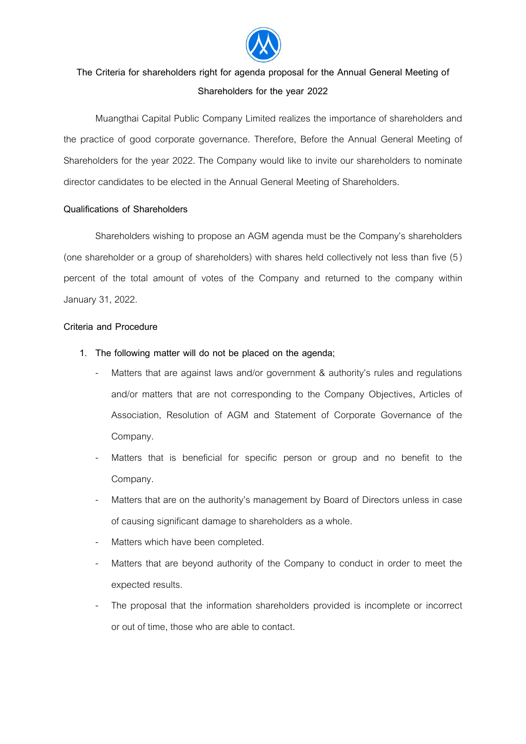

## **The Criteria for shareholders right for agenda proposal for the Annual General Meeting of Shareholders for the year 2022**

Muangthai Capital Public Company Limited realizes the importance of shareholders and the practice of good corporate governance. Therefore, Before the Annual General Meeting of Shareholders for the year 2022. The Company would like to invite our shareholders to nominate director candidates to be elected in the Annual General Meeting of Shareholders.

## **Qualifications of Shareholders**

Shareholders wishing to propose an AGM agenda must be the Company's shareholders (one shareholder or a group of shareholders) with shares held collectively not less than five (5 ) percent of the total amount of votes of the Company and returned to the company within January 31, 2022.

## **Criteria and Procedure**

- **1. The following matter will do not be placed on the agenda;**
	- Matters that are against laws and/or government & authority's rules and regulations and/or matters that are not corresponding to the Company Objectives, Articles of Association, Resolution of AGM and Statement of Corporate Governance of the Company.
	- Matters that is beneficial for specific person or group and no benefit to the Company.
	- Matters that are on the authority's management by Board of Directors unless in case of causing significant damage to shareholders as a whole.
	- Matters which have been completed.
	- Matters that are beyond authority of the Company to conduct in order to meet the expected results.
	- The proposal that the information shareholders provided is incomplete or incorrect or out of time, those who are able to contact.